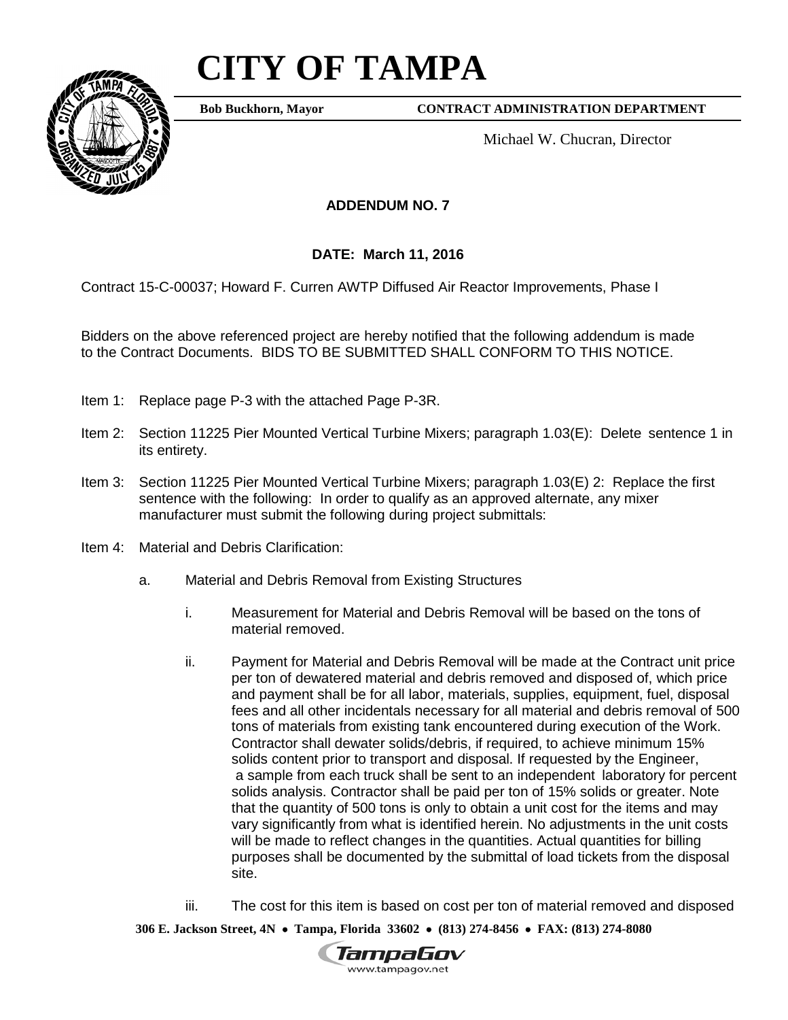## **CITY OF TAMPA**



**Bob Buckhorn, Mayor**

**CONTRACT ADMINISTRATION DEPARTMENT**

Michael W. Chucran, Director

## **ADDENDUM NO. 7**

## **DATE: March 11, 2016**

Contract 15-C-00037; Howard F. Curren AWTP Diffused Air Reactor Improvements, Phase I

Bidders on the above referenced project are hereby notified that the following addendum is made to the Contract Documents. BIDS TO BE SUBMITTED SHALL CONFORM TO THIS NOTICE.

- Item 1: Replace page P-3 with the attached Page P-3R.
- Item 2: Section 11225 Pier Mounted Vertical Turbine Mixers; paragraph 1.03(E): Delete sentence 1 in its entirety.
- Item 3: Section 11225 Pier Mounted Vertical Turbine Mixers; paragraph 1.03(E) 2: Replace the first sentence with the following: In order to qualify as an approved alternate, any mixer manufacturer must submit the following during project submittals:
- Item 4: Material and Debris Clarification:
	- a. Material and Debris Removal from Existing Structures
		- i. Measurement for Material and Debris Removal will be based on the tons of material removed.
		- ii. Payment for Material and Debris Removal will be made at the Contract unit price per ton of dewatered material and debris removed and disposed of, which price and payment shall be for all labor, materials, supplies, equipment, fuel, disposal fees and all other incidentals necessary for all material and debris removal of 500 tons of materials from existing tank encountered during execution of the Work. Contractor shall dewater solids/debris, if required, to achieve minimum 15% solids content prior to transport and disposal. If requested by the Engineer, a sample from each truck shall be sent to an independent laboratory for percent solids analysis. Contractor shall be paid per ton of 15% solids or greater. Note that the quantity of 500 tons is only to obtain a unit cost for the items and may vary significantly from what is identified herein. No adjustments in the unit costs will be made to reflect changes in the quantities. Actual quantities for billing purposes shall be documented by the submittal of load tickets from the disposal site.
		- iii. The cost for this item is based on cost per ton of material removed and disposed

**306 E. Jackson Street, 4N** • **Tampa, Florida 33602** • **(813) 274-8456** • **FAX: (813) 274-8080**

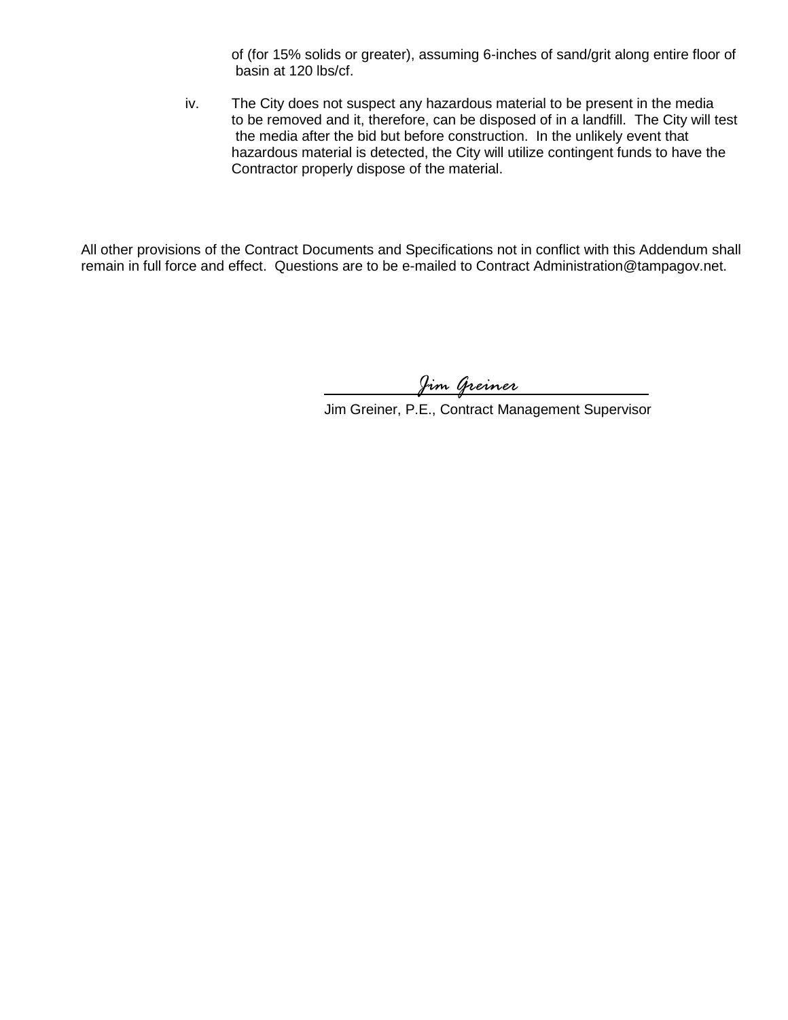of (for 15% solids or greater), assuming 6-inches of sand/grit along entire floor of basin at 120 lbs/cf.

iv. The City does not suspect any hazardous material to be present in the media to be removed and it, therefore, can be disposed of in a landfill. The City will test the media after the bid but before construction. In the unlikely event that hazardous material is detected, the City will utilize contingent funds to have the Contractor properly dispose of the material.

All other provisions of the Contract Documents and Specifications not in conflict with this Addendum shall remain in full force and effect. Questions are to be e-mailed to Contract Administration@tampagov.net.

*Jim Greiner*

Jim Greiner, P.E., Contract Management Supervisor